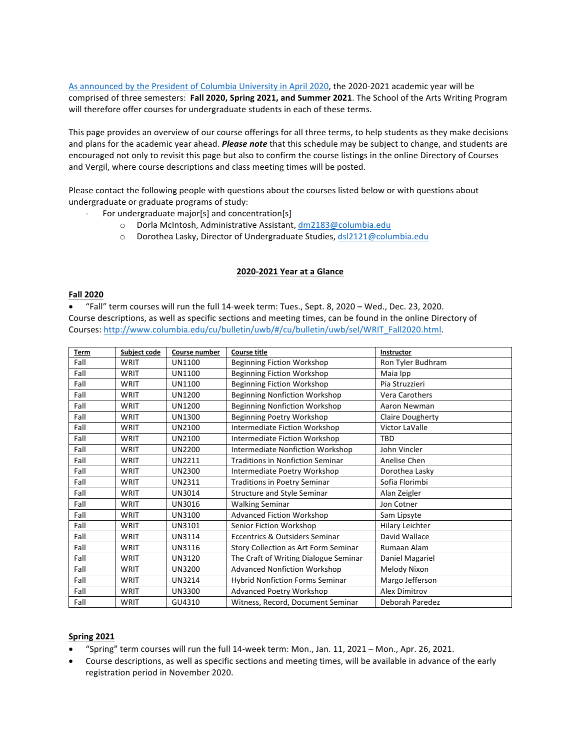As announced by the President of Columbia University in April 2020, the 2020-2021 academic year will be comprised of three semesters: Fall 2020, Spring 2021, and Summer 2021. The School of the Arts Writing Program will therefore offer courses for undergraduate students in each of these terms.

This page provides an overview of our course offerings for all three terms, to help students as they make decisions and plans for the academic year ahead. *Please note* that this schedule may be subject to change, and students are encouraged not only to revisit this page but also to confirm the course listings in the online Directory of Courses and Vergil, where course descriptions and class meeting times will be posted.

Please contact the following people with questions about the courses listed below or with questions about undergraduate or graduate programs of study:

- For undergraduate major[s] and concentration[s]
	- o Dorla McIntosh, Administrative Assistant, dm2183@columbia.edu
	- o Dorothea Lasky, Director of Undergraduate Studies, dsl2121@columbia.edu

## **2020-2021 Year at a Glance**

## **Fall 2020**

• "Fall" term courses will run the full 14-week term: Tues., Sept. 8, 2020 – Wed., Dec. 23, 2020. Course descriptions, as well as specific sections and meeting times, can be found in the online Directory of Courses: http://www.columbia.edu/cu/bulletin/uwb/#/cu/bulletin/uwb/sel/WRIT\_Fall2020.html.

| <b>Term</b> | Subject code | <b>Course number</b> | <b>Course title</b>                     | Instructor              |
|-------------|--------------|----------------------|-----------------------------------------|-------------------------|
| Fall        | <b>WRIT</b>  | UN1100               | <b>Beginning Fiction Workshop</b>       | Ron Tyler Budhram       |
| Fall        | WRIT         | UN1100               | <b>Beginning Fiction Workshop</b>       | Maia Ipp                |
| Fall        | WRIT         | <b>UN1100</b>        | <b>Beginning Fiction Workshop</b>       | Pia Struzzieri          |
| Fall        | WRIT         | UN1200               | <b>Beginning Nonfiction Workshop</b>    | Vera Carothers          |
| Fall        | WRIT         | <b>UN1200</b>        | <b>Beginning Nonfiction Workshop</b>    | Aaron Newman            |
| Fall        | WRIT         | <b>UN1300</b>        | Beginning Poetry Workshop               | <b>Claire Dougherty</b> |
| Fall        | <b>WRIT</b>  | UN2100               | Intermediate Fiction Workshop           | Victor LaValle          |
| Fall        | <b>WRIT</b>  | UN2100               | Intermediate Fiction Workshop           | <b>TBD</b>              |
| Fall        | WRIT         | <b>UN2200</b>        | Intermediate Nonfiction Workshop        | John Vincler            |
| Fall        | <b>WRIT</b>  | UN2211               | <b>Traditions in Nonfiction Seminar</b> | Anelise Chen            |
| Fall        | WRIT         | <b>UN2300</b>        | Intermediate Poetry Workshop            | Dorothea Lasky          |
| Fall        | WRIT         | <b>UN2311</b>        | <b>Traditions in Poetry Seminar</b>     | Sofia Florimbi          |
| Fall        | WRIT         | UN3014               | Structure and Style Seminar             | Alan Zeigler            |
| Fall        | WRIT         | UN3016               | <b>Walking Seminar</b>                  | Jon Cotner              |
| Fall        | WRIT         | UN3100               | <b>Advanced Fiction Workshop</b>        | Sam Lipsyte             |
| Fall        | <b>WRIT</b>  | UN3101               | Senior Fiction Workshop                 | Hilary Leichter         |
| Fall        | WRIT         | UN3114               | Eccentrics & Outsiders Seminar          | David Wallace           |
| Fall        | WRIT         | UN3116               | Story Collection as Art Form Seminar    | Rumaan Alam             |
| Fall        | WRIT         | UN3120               | The Craft of Writing Dialogue Seminar   | Daniel Magariel         |
| Fall        | WRIT         | <b>UN3200</b>        | <b>Advanced Nonfiction Workshop</b>     | Melody Nixon            |
| Fall        | WRIT         | <b>UN3214</b>        | <b>Hybrid Nonfiction Forms Seminar</b>  | Margo Jefferson         |
| Fall        | WRIT         | <b>UN3300</b>        | <b>Advanced Poetry Workshop</b>         | <b>Alex Dimitrov</b>    |
| Fall        | <b>WRIT</b>  | GU4310               | Witness, Record, Document Seminar       | Deborah Paredez         |

## **Spring 2021**

- "Spring" term courses will run the full 14-week term: Mon., Jan. 11, 2021 – Mon., Apr. 26, 2021.
- Course descriptions, as well as specific sections and meeting times, will be available in advance of the early registration period in November 2020.